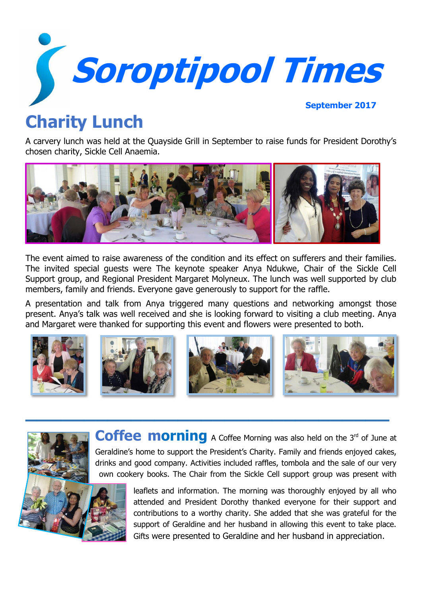

# **Charity Lunch**

A carvery lunch was held at the Quayside Grill in September to raise funds for President Dorothy's chosen charity, Sickle Cell Anaemia.



The event aimed to raise awareness of the condition and its effect on sufferers and their families. The invited special guests were The keynote speaker Anya Ndukwe, Chair of the Sickle Cell Support group, and Regional President Margaret Molyneux. The lunch was well supported by club members, family and friends. Everyone gave generously to support for the raffle.

A presentation and talk from Anya triggered many questions and networking amongst those present. Anya's talk was well received and she is looking forward to visiting a club meeting. Anya and Margaret were thanked for supporting this event and flowers were presented to both.



**\_\_\_\_\_\_\_\_\_\_\_\_\_\_\_\_\_\_\_\_\_\_\_\_\_\_\_\_\_\_\_**



own cookery books. The Chair from the Sickle Cell support group was present with leaflets and information. The morning was thoroughly enjoyed by all who attended and President Dorothy thanked everyone for their support and contributions to a worthy charity. She added that she was grateful for the

Coffee morning A Coffee Morning was also held on the 3<sup>rd</sup> of June at

support of Geraldine and her husband in allowing this event to take place. Gifts were presented to Geraldine and her husband in appreciation.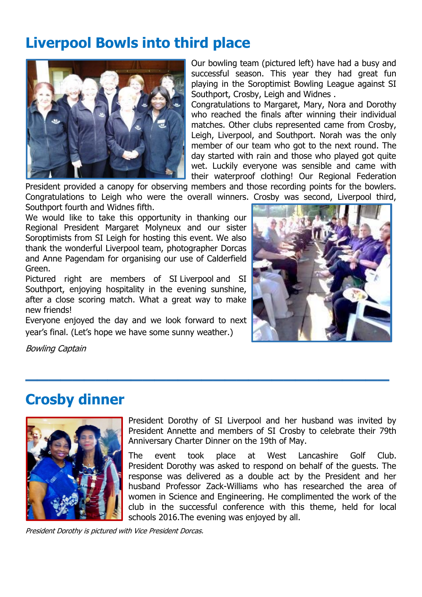# **Liverpool Bowls into third place**



Our bowling team (pictured left) have had a busy and successful season. This year they had great fun playing in the Soroptimist Bowling League against SI Southport, Crosby, Leigh and Widnes .

Congratulations to Margaret, Mary, Nora and Dorothy who reached the finals after winning their individual matches. Other clubs represented came from Crosby, Leigh, Liverpool, and Southport. Norah was the only member of our team who got to the next round. The day started with rain and those who played got quite wet. Luckily everyone was sensible and came with their waterproof clothing! Our Regional Federation

President provided a canopy for observing members and those recording points for the bowlers. Congratulations to Leigh who were the overall winners. Crosby was second, Liverpool third, Southport fourth and Widnes fifth.

**\_\_\_\_\_\_\_\_\_\_\_\_\_\_\_\_\_\_\_\_\_\_\_\_\_\_\_\_\_\_\_**

We would like to take this opportunity in thanking our Regional President Margaret Molyneux and our sister Soroptimists from SI Leigh for hosting this event. We also thank the wonderful Liverpool team, photographer Dorcas and Anne Pagendam for organising our use of Calderfield Green.

Pictured right are members of SI Liverpool and SI Southport, enjoying hospitality in the evening sunshine, after a close scoring match. What a great way to make new friends!

Everyone enjoyed the day and we look forward to next year's final. (Let's hope we have some sunny weather.)



Bowling Captain

### **Crosby dinner**



President Dorothy of SI Liverpool and her husband was invited by President Annette and members of SI Crosby to celebrate their 79th Anniversary Charter Dinner on the 19th of May.

The event took place at West Lancashire Golf Club. President Dorothy was asked to respond on behalf of the guests. The response was delivered as a double act by the President and her husband Professor Zack-Williams who has researched the area of women in Science and Engineering. He complimented the work of the club in the successful conference with this theme, held for local schools 2016.The evening was enjoyed by all.

President Dorothy is pictured with Vice President Dorcas.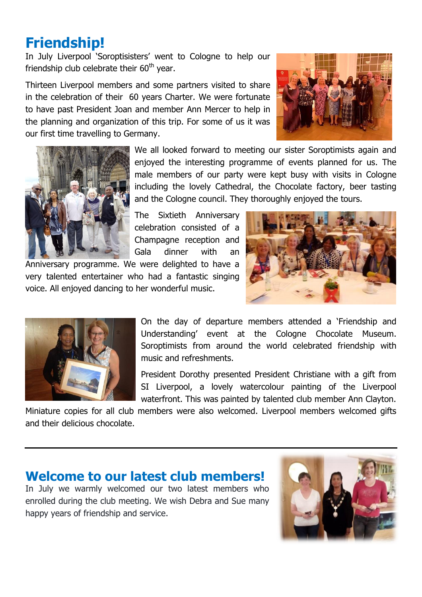# **Friendship!**

In July Liverpool 'Soroptisisters' went to Cologne to help our friendship club celebrate their  $60<sup>th</sup>$  year.

Thirteen Liverpool members and some partners visited to share in the celebration of their 60 years Charter. We were fortunate to have past President Joan and member Ann Mercer to help in the planning and organization of this trip. For some of us it was our first time travelling to Germany.





We all looked forward to meeting our sister Soroptimists again and enjoyed the interesting programme of events planned for us. The male members of our party were kept busy with visits in Cologne including the lovely Cathedral, the Chocolate factory, beer tasting and the Cologne council. They thoroughly enjoyed the tours.

The Sixtieth Anniversary celebration consisted of a Champagne reception and Gala dinner with an

Anniversary programme. We were delighted to have a very talented entertainer who had a fantastic singing voice. All enjoyed dancing to her wonderful music.





On the day of departure members attended a 'Friendship and Understanding' event at the Cologne Chocolate Museum. Soroptimists from around the world celebrated friendship with music and refreshments.

President Dorothy presented President Christiane with a gift from SI Liverpool, a lovely watercolour painting of the Liverpool waterfront. This was painted by talented club member Ann Clayton.

Miniature copies for all club members were also welcomed. Liverpool members welcomed gifts and their delicious chocolate.

#### **Welcome to our latest club members!**

In July we warmly welcomed our two latest members who enrolled during the club meeting. We wish Debra and Sue many happy years of friendship and service.